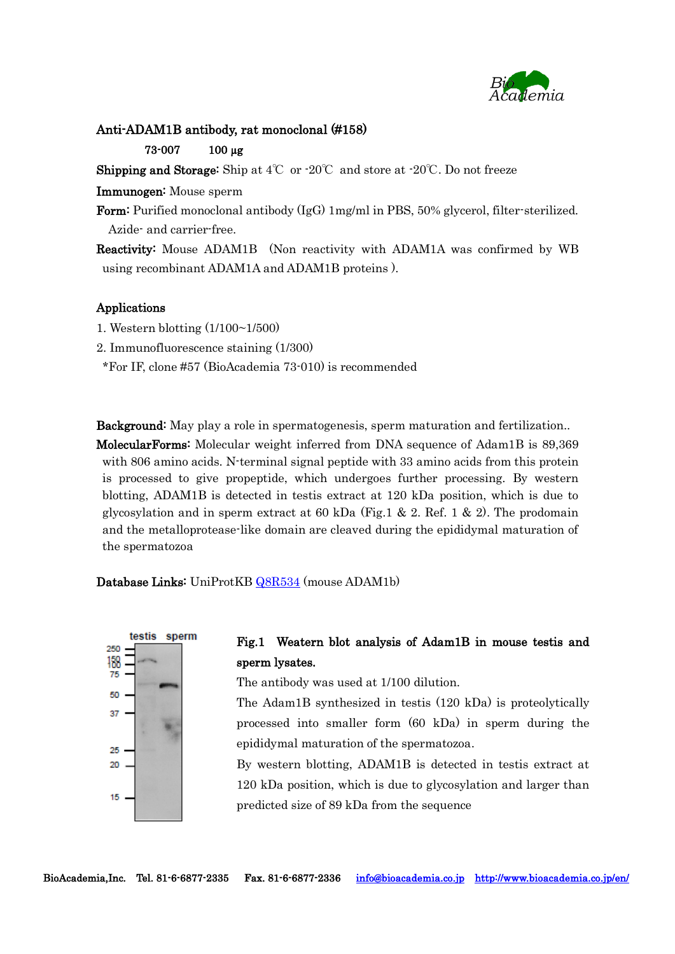

### Anti-ADAM1B antibody, rat monoclonal (#158)

#### 73-007 100 µg

Shipping and Storage: Ship at 4℃ or -20℃ and store at -20℃. Do not freeze

Immunogen: Mouse sperm

Form: Purified monoclonal antibody (IgG) 1mg/ml in PBS, 50% glycerol, filter-sterilized. Azide- and carrier-free.

Reactivity: Mouse ADAM1B (Non reactivity with ADAM1A was confirmed by WB using recombinant ADAM1A and ADAM1B proteins ).

## Applications

1. Western blotting (1/100~1/500)

2. Immunofluorescence staining (1/300)

\*For IF, clone #57 (BioAcademia 73-010) is recommended

Background: May play a role in spermatogenesis, sperm maturation and fertilization.. MolecularForms: Molecular weight inferred from DNA sequence of Adam1B is 89,369 with 806 amino acids. N-terminal signal peptide with 33 amino acids from this protein is processed to give propeptide, which undergoes further processing. By western blotting, ADAM1B is detected in testis extract at 120 kDa position, which is due to glycosylation and in sperm extract at 60 kDa (Fig.1 & 2. Ref. 1 & 2). The prodomain

and the metalloprotease-like domain are cleaved during the epididymal maturation of the spermatozoa

Database Links: UniProtKB [Q8R534](http://www.uniprot.org/uniprot/Q8R534) (mouse ADAM1b)



# Fig.1 Weatern blot analysis of Adam1B in mouse testis and sperm lysates.

The antibody was used at 1/100 dilution.

The Adam1B synthesized in testis (120 kDa) is proteolytically processed into smaller form (60 kDa) in sperm during the epididymal maturation of the spermatozoa.

By western blotting, ADAM1B is detected in testis extract at 120 kDa position, which is due to glycosylation and larger than predicted size of 89 kDa from the sequence